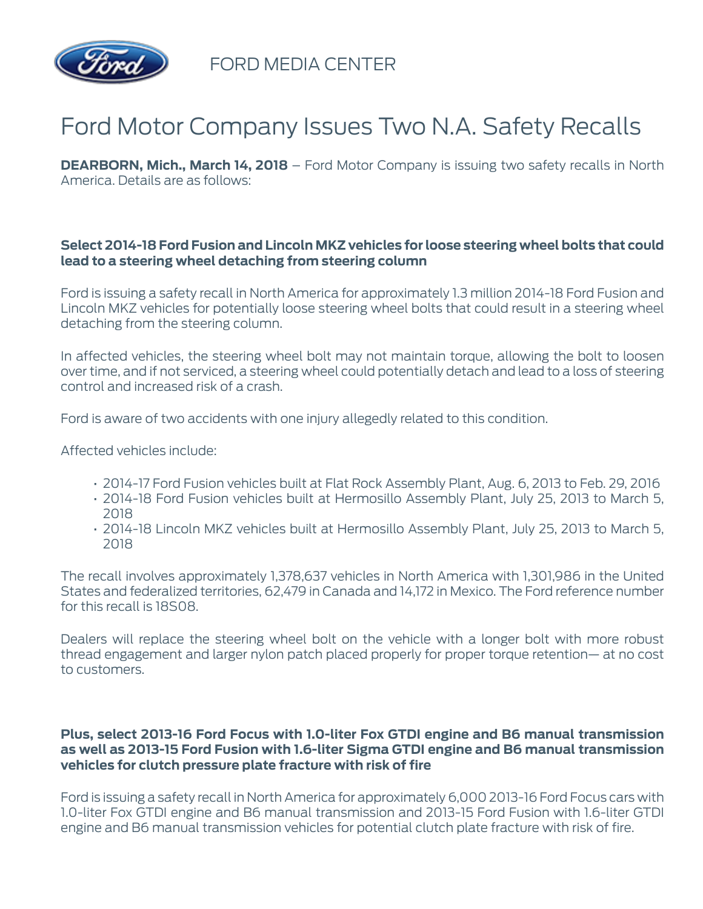

FORD MEDIA CENTER

## Ford Motor Company Issues Two N.A. Safety Recalls

**DEARBORN, Mich., March 14, 2018** – Ford Motor Company is issuing two safety recalls in North America. Details are as follows:

## **Select 2014-18 Ford Fusion and Lincoln MKZ vehicles for loose steering wheel bolts that could lead to a steering wheel detaching from steering column**

Ford is issuing a safety recall in North America for approximately 1.3 million 2014-18 Ford Fusion and Lincoln MKZ vehicles for potentially loose steering wheel bolts that could result in a steering wheel detaching from the steering column.

In affected vehicles, the steering wheel bolt may not maintain torque, allowing the bolt to loosen over time, and if not serviced, a steering wheel could potentially detach and lead to a loss of steering control and increased risk of a crash.

Ford is aware of two accidents with one injury allegedly related to this condition.

Affected vehicles include:

- 2014-17 Ford Fusion vehicles built at Flat Rock Assembly Plant, Aug. 6, 2013 to Feb. 29, 2016
- 2014-18 Ford Fusion vehicles built at Hermosillo Assembly Plant, July 25, 2013 to March 5, 2018
- 2014-18 Lincoln MKZ vehicles built at Hermosillo Assembly Plant, July 25, 2013 to March 5, 2018

The recall involves approximately 1,378,637 vehicles in North America with 1,301,986 in the United States and federalized territories, 62,479 in Canada and 14,172 in Mexico. The Ford reference number for this recall is 18S08.

Dealers will replace the steering wheel bolt on the vehicle with a longer bolt with more robust thread engagement and larger nylon patch placed properly for proper torque retention— at no cost to customers.

## **Plus, select 2013-16 Ford Focus with 1.0-liter Fox GTDI engine and B6 manual transmission as well as 2013-15 Ford Fusion with 1.6-liter Sigma GTDI engine and B6 manual transmission vehicles for clutch pressure plate fracture with risk of fire**

Ford is issuing a safety recall in North America for approximately 6,000 2013-16 Ford Focus cars with 1.0-liter Fox GTDI engine and B6 manual transmission and 2013-15 Ford Fusion with 1.6-liter GTDI engine and B6 manual transmission vehicles for potential clutch plate fracture with risk of fire.